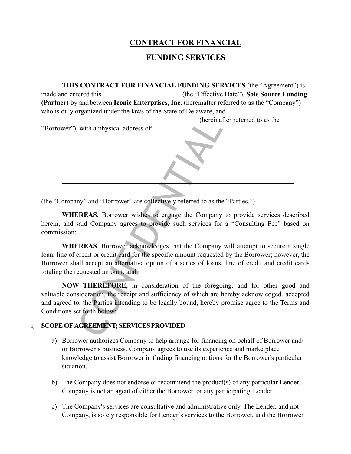## **CONTRACT FOR FINANCIAL**

## **FUNDING SERVICES**

**THIS CONTRACT FOR FINANCIAL FUNDING SERVICES** (the "Agreement") is made and entered this **the "Effective Date"**), **Sole Source Funding** (the "Effective Date"), **Sole Source Funding (Partner)** by and between **Iconic Enterprises, Inc.** (hereinafter referred to as the "Company") who is duly organized under the laws of the State of Delaware, and

|  |  | (hereinafter referred to as the |  |  |
|--|--|---------------------------------|--|--|
|  |  |                                 |  |  |

(hereinal)<br>
(hereinal)<br>
The applysical address of:<br>
The applysical address of:<br>
The applysical address of<br>
CONFIDENTIAL as the Company<br>
asid Company agrees to provide such services for<br>
CONFIDENTIAL as the Company<br>
CONFIDE "Borrower"), with a physical address of:

(the "Company" and "Borrower" are collectively referred to as the "Parties.")

**WHEREAS**, Borrower wishes to engage the Company to provide services described herein, and said Company agrees to provide such services for a "Consulting Fee" based on commission;

**WHEREAS**, Borrower acknowledges that the Company will attempt to secure a single loan, line of credit or credit card for the specific amount requested by the Borrower; however, the Borrower shall accept an alternative option of a series of loans, line of credit and credit cards totaling the requested amount; and

**NOW THEREFORE**, in consideration of the foregoing, and for other good and valuable consideration, the receipt and sufficiency of which are hereby acknowledged, accepted and agreed to, the Parties intending to be legally bound, hereby promise agree to the Terms and Conditions set forth below:

## **1) SCOPE OF AGREEMENT; SERVICESPROVIDED**

- a) Borrower authorizes Company to help arrange for financing on behalf of Borrower and/ or Borrower's business. Company agrees to use its experience and marketplace knowledge to assist Borrower in finding financing options for the Borrower's particular situation.
- b) The Company does not endorse or recommend the product(s) of any particular Lender. Company is not an agent of either the Borrower, or any participating Lender.
- c) The Company's services are consultative and administrative only. The Lender, and not Company, is solely responsible for Lender's services to the Borrower, and the Borrower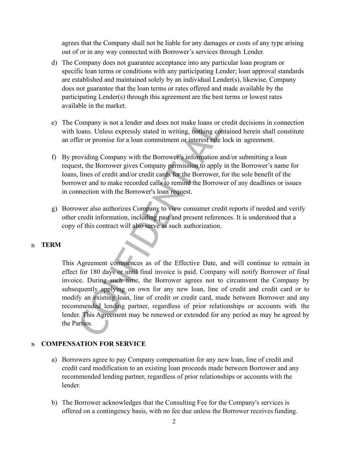agrees that the Company shall not be liable for any damages or costs of any type arising out of or in any way connected with Borrower's services through Lender.

- d) The Company does not guarantee acceptance into any particular loan program or specific loan terms or conditions with any participating Lender; loan approval standards are established and maintained solely by an individual Lender(s), likewise, Company does not guarantee that the loan terms or rates offered and made available by the participating Lender(s) through this agreement are the best terms or lowest rates available in the market.
- e) The Company is not a lender and does not make loans or credit decisions in connection with loans. Unless expressly stated in writing, nothing contained herein shall constitute an offer or promise for a loan commitment or interest rate lock in agreement.
- f) By providing Company with the Borrower's information and/or submitting a loan request, the Borrower gives Company permission to apply in the Borrower's name for loans, lines of credit and/or credit cards for the Borrower, for the sole benefit of the borrower and to make recorded calls to remind the Borrower of any deadlines or issues in connection with the Borrower's loan request.
- g) Borrower also authorizes Company to view consumer credit reports if needed and verify other credit information, including past and present references. It is understood that a copy of this contract will also serve as such authorization.

#### **2) TERM**

Company is not a lender and does not make loans or company is not a lender and does not make loans or cloans. Unless expressly stated in writing, nothing coffer or promise for a loan commitment or interest rate oviding Com This Agreement commences as of the Effective Date, and will continue to remain in effect for 180 days or until final invoice is paid. Company will notify Borrower of final invoice. During such time, the Borrower agrees not to circumvent the Company by subsequently applying on own for any new loan, line of credit and credit card or to modify an existing loan, line of credit or credit card, made between Borrower and any recommended lending partner, regardless of prior relationships or accounts with the lender. This Agreement may be renewed or extended for any period as may be agreed by the Parties.

#### **3) COMPENSATION FOR SERVICE**

- a) Borrowers agree to pay Company compensation for any new loan, line of credit and credit card modification to an existing loan proceeds made between Borrower and any recommended lending partner, regardless of prior relationships or accounts with the lender.
- b) The Borrower acknowledges that the Consulting Fee for the Company's services is offered on a contingency basis, with no fee due unless the Borrower receives funding.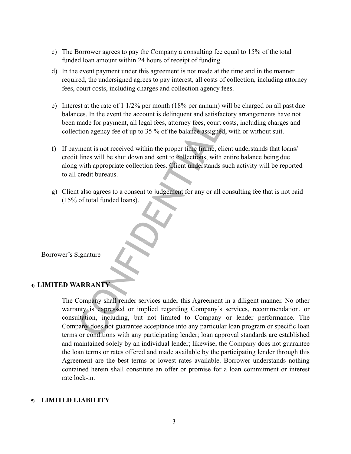- c) The Borrower agrees to pay the Company a consulting fee equal to 15% of the total funded loan amount within 24 hours of receipt of funding.
- d) In the event payment under this agreement is not made at the time and in the manner required, the undersigned agrees to pay interest, all costs of collection, including attorney fees, court costs, including charges and collection agency fees.
- e) Interest at the rate of 1 1/2% per month (18% per annum) will be charged on all past due balances. In the event the account is delinquent and satisfactory arrangements have not been made for payment, all legal fees, attorney fees, court costs, including charges and collection agency fee of up to 35 % of the balance assigned, with or without suit.
- f) If payment is not received within the proper time frame, client understands that loans/ credit lines will be shut down and sent to collections, with entire balance being due along with appropriate collection fees. Client understands such activity will be reported to all credit bureaus.
- g) Client also agrees to a consent to judgement for any or all consulting fee that is not paid (15% of total funded loans).

Borrower's Signature

## **4) LIMITED WARRANTY**

From the about the same of the balance assigned<br>
anade for payment, all legal fees, attorney fees, court<br>
tion agency fee of up to 35 % of the balance assigned<br>
the vith appropriate collection fees. Client understands<br>
cre The Company shall render services under this Agreement in a diligent manner. No other warranty is expressed or implied regarding Company's services, recommendation, or consultation, including, but not limited to Company or lender performance. The Company does not guarantee acceptance into any particular loan program or specific loan terms or conditions with any participating lender; loan approval standards are established and maintained solely by an individual lender; likewise, the Company does not guarantee the loan terms or rates offered and made available by the participating lender through this Agreement are the best terms or lowest rates available. Borrower understands nothing contained herein shall constitute an offer or promise for a loan commitment or interest rate lock-in.

#### **5) LIMITED LIABILITY**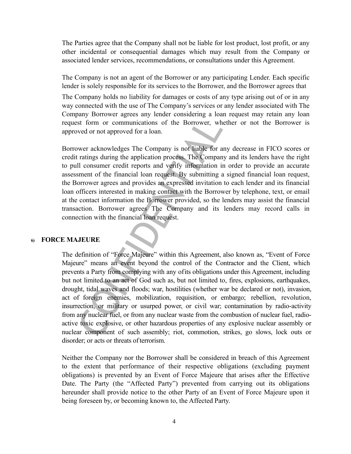The Parties agree that the Company shall not be liable for lost product, lost profit, or any other incidental or consequential damages which may result from the Company or associated lender services, recommendations, or consultations under this Agreement.

The Company is not an agent of the Borrower or any participating Lender. Each specific lender is solely responsible for its services to the Borrower, and the Borrower agrees that

The Company holds no liability for damages or costs of any type arising out of or in any way connected with the use of The Company's services or any lender associated with The Company Borrower agrees any lender considering a loan request may retain any loan request form or communications of the Borrower, whether or not the Borrower is approved or not approved for a loan.

Borrower acknowledges The Company is not liable for any decrease in FICO scores or credit ratings during the application process. The Company and its lenders have the right to pull consumer credit reports and verify information in order to provide an accurate assessment of the financial loan request. By submitting a signed financial loan request, the Borrower agrees and provides an expressed invitation to each lender and its financial loan officers interested in making contact with the Borrower by telephone, text, or email at the contact information the Borrower provided, so the lenders may assist the financial transaction. Borrower agrees The Company and its lenders may record calls in connection with the financial loan request.

#### **6) FORCE MAJEURE**

Example 2012 and the Borrower and the Horse and the transfer and the transmit set form or communications of the Borrower, where or a ratings during the application process. The Compann II consumer credit reports and verify The definition of "Force Majeure" within this Agreement, also known as, "Event of Force Majeure" means an event beyond the control of the Contractor and the Client, which prevents a Party from complying with any ofits obligations under this Agreement, including but not limited to an act of God such as, but not limited to, fires, explosions, earthquakes, drought, tidal waves and floods; war, hostilities (whether war be declared or not), invasion, act of foreign enemies, mobilization, requisition, or embargo; rebellion, revolution, insurrection, or military or usurped power, or civil war; contamination by radio-activity from any nuclear fuel, or from any nuclear waste from the combustion of nuclear fuel, radioactive toxic explosive, or other hazardous properties of any explosive nuclear assembly or nuclear component of such assembly; riot, commotion, strikes, go slows, lock outs or disorder; or acts or threats of terrorism.

Neither the Company nor the Borrower shall be considered in breach of this Agreement to the extent that performance of their respective obligations (excluding payment obligations) is prevented by an Event of Force Majeure that arises after the Effective Date. The Party (the "Affected Party") prevented from carrying out its obligations hereunder shall provide notice to the other Party of an Event of Force Majeure upon it being foreseen by, or becoming known to, the Affected Party.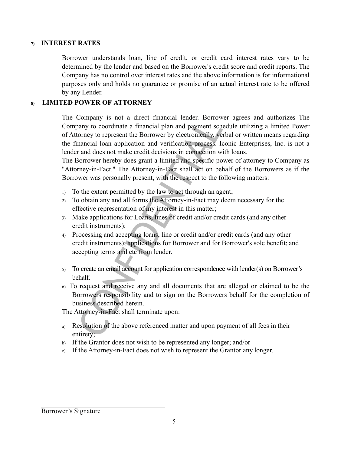## **7) INTEREST RATES**

Borrower understands loan, line of credit, or credit card interest rates vary to be determined by the lender and based on the Borrower's credit score and credit reports. The Company has no control over interest rates and the above information is for informational purposes only and holds no guarantee or promise of an actual interest rate to be offered by any Lender.

## **8) LIMITED POWER OF ATTORNEY**

Company is not a direct financial lender. Borrow<br>homy to coordinate a financial plan and payment sch<br>tormey to represent the Borrower by electronically, we<br>mancial loan application and verification process. It<br>and does not The Company is not a direct financial lender. Borrower agrees and authorizes The Company to coordinate a financial plan and payment schedule utilizing a limited Power of Attorney to represent the Borrower by electronically, verbal or written means regarding the financial loan application and verification process. Iconic Enterprises, Inc. is not a lender and does not make credit decisions in connection with loans.

The Borrower hereby does grant a limited and specific power of attorney to Company as "Attorney-in-Fact." The Attorney-in-Fact shall act on behalf of the Borrowers as if the Borrower was personally present, with the respect to the following matters:

- 1) To the extent permitted by the law to act through an agent;
- 2) To obtain any and all forms the Attorney-in-Fact may deem necessary for the effective representation of my interest in this matter;
- 3) Make applications for Loans, lines of credit and/or credit cards (and any other credit instruments);
- 4) Processing and accepting loans, line or credit and/or credit cards (and any other credit instruments); applications for Borrower and for Borrower's sole benefit; and accepting terms and etc from lender.
- 5) To create an email account for application correspondence with lender(s) on Borrower's behalf.
- 6) To request and receive any and all documents that are alleged or claimed to be the Borrowers responsibility and to sign on the Borrowers behalf for the completion of business described herein.

The Attorney-in-Fact shall terminate upon:

- a) Resolution of the above referenced matter and upon payment of all fees in their entirety;
- b) If the Grantor does not wish to be represented any longer; and/or
- c) If the Attorney-in-Fact does not wish to represent the Grantor any longer.

#### Borrower's Signature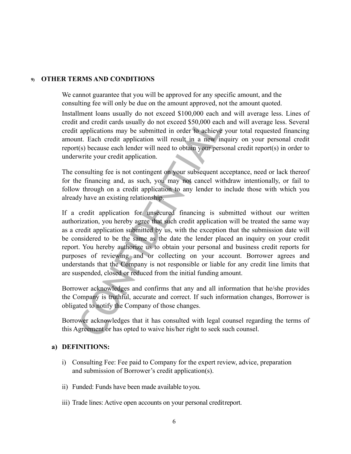#### **9) OTHER TERMS AND CONDITIONS**

We cannot guarantee that you will be approved for any specific amount, and the consulting fee will only be due on the amount approved, not the amount quoted.

Installment loans usually do not exceed \$100,000 each and will average less. Lines of credit and credit cards usually do not exceed \$50,000 each and will average less. Several credit applications may be submitted in order to achieve your total requested financing amount. Each credit application will result in a new inquiry on your personal credit report(s) because each lender will need to obtain your personal credit report(s) in order to underwrite your credit application.

The consulting fee is not contingent on your subsequent acceptance, need or lack thereof for the financing and, as such, you may not cancel withdraw intentionally, or fail to follow through on a credit application to any lender to include those with which you already have an existing relationship.

and credit cards usually do not exceed \$50,000 eact<br>applications may be submitted in order to achieve<br>nt. Each credit application will result in a new in<br>t(s) because each lender will need to obtain your pers<br>write your cr If a credit application for unsecured financing is submitted without our written authorization, you hereby agree that such credit application will be treated the same way as a credit application submitted by us, with the exception that the submission date will be considered to be the same as the date the lender placed an inquiry on your credit report. You hereby authorize us to obtain your personal and business credit reports for purposes of reviewing and or collecting on your account. Borrower agrees and understands that the Company is not responsible or liable for any credit line limits that are suspended, closed or reduced from the initial funding amount.

Borrower acknowledges and confirms that any and all information that he/she provides the Company is truthful, accurate and correct. If such information changes, Borrower is obligated to notify the Company of those changes.

Borrower acknowledges that it has consulted with legal counsel regarding the terms of this Agreement or has opted to waive his/her right to seek such counsel.

#### **a) DEFINITIONS:**

- i) Consulting Fee: Fee paid to Company for the expert review, advice, preparation and submission of Borrower's credit application(s).
- ii) Funded: Funds have been made available toyou.
- iii) Trade lines: Active open accounts on your personal creditreport.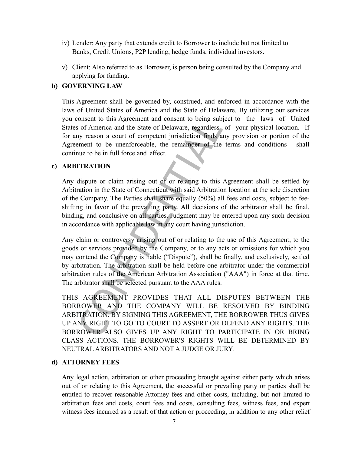- iv) Lender: Any party that extends credit to Borrower to include but not limited to Banks, Credit Unions, P2P lending, hedge funds, individual investors.
- v) Client: Also referred to as Borrower, is person being consulted by the Company and applying for funding.

## **b) GOVERNING LAW**

This Agreement shall be governed by, construed, and enforced in accordance with the laws of United States of America and the State of Delaware. By utilizing our services you consent to this Agreement and consent to being subject to the laws of United States of America and the State of Delaware, regardless, of your physical location. If for any reason a court of competent jurisdiction finds any provision or portion of the Agreement to be unenforceable, the remainder of the terms and conditions shall continue to be in full force and effect.

#### **c) ARBITRATION**

Any dispute or claim arising out of or relating to this Agreement shall be settled by Arbitration in the State of Connecticut with said Arbitration location at the sole discretion of the Company. The Parties shall share equally (50%) all fees and costs, subject to feeshifting in favor of the prevailing party. All decisions of the arbitrator shall be final, binding, and conclusive on all parties. Judgment may be entered upon any such decision in accordance with applicable law in any court having jurisdiction.

consent to this Agreement and consent to being subsorption of America and the State of Delaware, regardless by reason a court of competent jurisdiction finds a ement to be unenforceable, the remainder of the une to be in f Any claim or controversy arising out of or relating to the use of this Agreement, to the goods or services provided by the Company, or to any acts or omissions for which you may contend the Company is liable ("Dispute"), shall be finally, and exclusively, settled by arbitration. The arbitration shall be held before one arbitrator under the commercial arbitration rules of the American Arbitration Association ("AAA") in force at that time. The arbitrator shall be selected pursuant to the AAA rules.

THIS AGREEMENT PROVIDES THAT ALL DISPUTES BETWEEN THE BORROWER AND THE COMPANY WILL BE RESOLVED BY BINDING ARBITRATION. BY SIGNING THIS AGREEMENT, THE BORROWER THUS GIVES UP ANY RIGHT TO GO TO COURT TO ASSERT OR DEFEND ANY RIGHTS. THE BORROWER ALSO GIVES UP ANY RIGHT TO PARTICIPATE IN OR BRING CLASS ACTIONS. THE BORROWER'S RIGHTS WILL BE DETERMINED BY NEUTRAL ARBITRATORS AND NOT A JUDGE OR JURY.

#### **d) ATTORNEY FEES**

Any legal action, arbitration or other proceeding brought against either party which arises out of or relating to this Agreement, the successful or prevailing party or parties shall be entitled to recover reasonable Attorney fees and other costs, including, but not limited to arbitration fees and costs, court fees and costs, consulting fees, witness fees, and expert witness fees incurred as a result of that action or proceeding, in addition to any other relief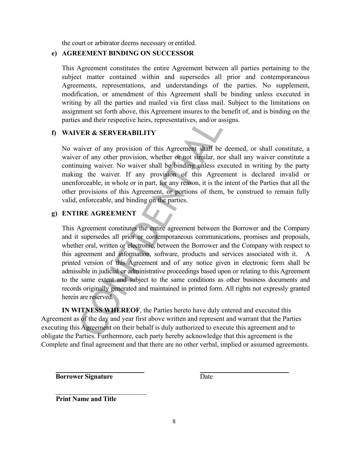the court or arbitrator deems necessary or entitled.

#### **e) AGREEMENT BINDING ON SUCCESSOR**

This Agreement constitutes the entire Agreement between all parties pertaining to the subject matter contained within and supersedes all prior and contemporaneous Agreements, representations, and understandings of the parties. No supplement, modification, or amendment of this Agreement shall be binding unless executed in writing by all the parties and mailed via first class mail. Subject to the limitations on assignment set forth above, this Agreement insures to the benefit of, and is binding on the parties and their respective heirs, representatives, and/or assigns.

## **f) WAIVER & SERVERABILITY**

No waiver of any provision of this Agreement shall be deemed, or shall constitute, a waiver of any other provision, whether or not similar, nor shall any waiver constitute a continuing waiver. No waiver shall be binding unless executed in writing by the party making the waiver. If any provision of this Agreement is declared invalid or unenforceable, in whole or in part, for any reason, it is the intent of the Parties that all the other provisions of this Agreement, or portions of them, be construed to remain fully valid, enforceable, and binding on the parties.

## **g) ENTIRE AGREEMENT**

Solution and their respective heirs, representatives, and/or as<br>
VER & SERVERABILITY<br>
vaiver of any provision of this Agreement shall be<br>
or of any other provision, whether or not similar, no<br>
nuting waiver. No waiver shal This Agreement constitutes the entire agreement between the Borrower and the Company and it supersedes all prior or contemporaneous communications, promises and proposals, whether oral, written or electronic, between the Borrower and the Company with respect to this agreement and information, software, products and services associated with it. A printed version of this Agreement and of any notice given in electronic form shall be admissible in judicial or administrative proceedings based upon or relating to this Agreement to the same extent and subject to the same conditions as other business documents and records originally generated and maintained in printed form. All rights not expressly granted herein are reserved.

**IN WITNESS WHEREOF**, the Parties hereto have duly entered and executed this Agreement as of the day and year first above written and represent and warrant that the Parties executing this Agreement on their behalf is duly authorized to execute this agreement and to obligate the Parties. Furthermore, each party hereby acknowledge that this agreement is the Complete and final agreement and that there are no other verbal, implied or assumed agreements.

**Borrower Signature** Date

 **Print Name and Title**

 $\mathcal{L}_\text{max}$  , and the set of the set of the set of the set of the set of the set of the set of the set of the set of the set of the set of the set of the set of the set of the set of the set of the set of the set of the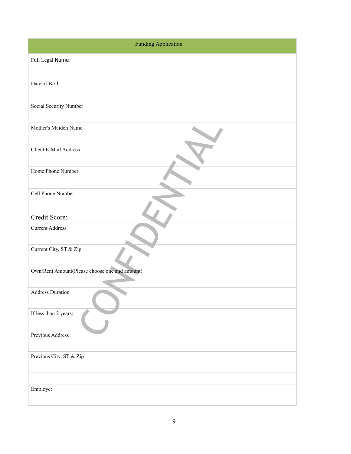|                                               | <b>Funding Application</b> |
|-----------------------------------------------|----------------------------|
| Full Legal Name                               |                            |
|                                               |                            |
| Date of Birth                                 |                            |
| Social Security Number                        |                            |
| Mother's Maiden Name                          |                            |
| Client E-Mail Address                         |                            |
| Home Phone Number                             |                            |
| Cell Phone Number                             |                            |
| Credit Score:                                 |                            |
| <b>Current Address</b>                        |                            |
| Current City, ST & Zip                        |                            |
| Own/Rent Amount(Please choose one and amount) |                            |
| <b>Address Duration</b>                       |                            |
| If less than 2 years:                         |                            |
| Previous Address                              |                            |
| Previous City, ST & Zip                       |                            |
|                                               |                            |
| Employer                                      |                            |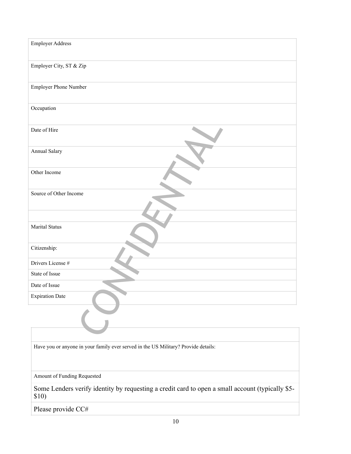| <b>Employer Address</b> |
|-------------------------|
| Employer City, ST & Zip |
| Employer Phone Number   |
| Occupation              |
| Date of Hire            |
| Annual Salary           |
| Other Income            |
| Source of Other Income  |
| Marital Status          |
| Citizenship:            |
| Drivers License #       |
| State of Issue          |
| Date of Issue           |
| <b>Expiration Date</b>  |
|                         |

Have you or anyone in your family ever served in the US Military? Provide details:

Amount of Funding Requested

Some Lenders verify identity by requesting a credit card to open a small account (typically \$5- \$10)

Please provide CC#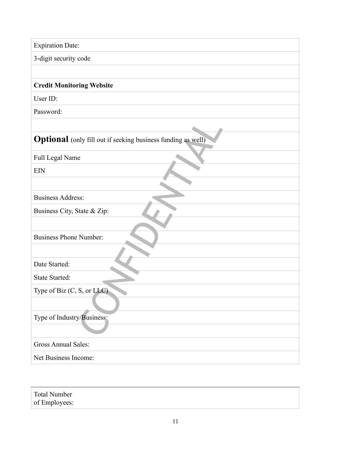| <b>Expiration Date:</b>                                             |
|---------------------------------------------------------------------|
| 3-digit security code                                               |
|                                                                     |
| <b>Credit Monitoring Website</b>                                    |
| User ID:                                                            |
| Password:                                                           |
|                                                                     |
| <b>Optional</b> (only fill out if seeking business funding as well) |
| Full Legal Name                                                     |
| <b>EIN</b>                                                          |
|                                                                     |
| <b>Business Address:</b>                                            |
| Business City, State & Zip:                                         |
|                                                                     |
| <b>Business Phone Number:</b>                                       |
|                                                                     |
| Date Started:                                                       |
| <b>State Started:</b>                                               |
| Type of Biz $(C, S, or LLC)$                                        |
|                                                                     |
| Type of Industry/Business:                                          |
|                                                                     |
| <b>Gross Annual Sales:</b>                                          |
| Net Business Income:                                                |

Total Number of Employees: